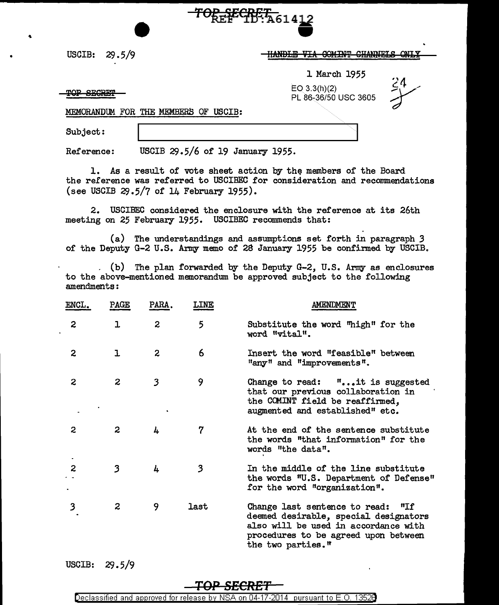USCIB: 29.5/9

## $\frac{12}{11}$

1 March 1955

EO 3.3(h)(2) PL 86-36/50 USC 3605

TOP SECRET

MEMORANDUM FOR THE MEMBERS OF USCIB:

Subject:

Reference: USCIB  $29.5/6$  of 19 January 1955.

1. As a result of vote sheet action by the members of the Board the reference was referred to USCIBEC for consideration and recommendations (see USCIB  $29.5/7$  of 14 February 1955).

 $TOR$  $EET$  $W:$ A6141

2. USCIBEC considered the enclosure with the reference at its 26th meeting on 25 February 1955. USCIBEC recommends that:

(a) The understandings and assumptions set forth in paragraph *3*  of the Deputy G-2 U.S. Army memo of 28 January 1955 be confinned by USCIB.

. (b) The plan forwarded by the Deputy  $G-2$ , U.S. Army as enclosures to the above-mentioned memorandum be approved subject to the following amendments:

| ENCL. | PAGE             | PARA.          | <b>LINE</b> | <b>AMENDMENT</b>                                                                                                                                                                |
|-------|------------------|----------------|-------------|---------------------------------------------------------------------------------------------------------------------------------------------------------------------------------|
| 2     | ı                | 2              | 5           | Substitute the word "high" for the<br>word "vital".                                                                                                                             |
| 2     | ı                | $\overline{c}$ | 6           | Insert the word "feasible" between<br>"any" and "improvements".                                                                                                                 |
| 2     | $\boldsymbol{2}$ | 3              | 9           | Change to read: $\mathbf{f}$ it is suggested<br>that our previous collaboration in<br>the COMINT field be reaffirmed,<br>augmented and established" etc.                        |
| 2     | 2                | 4              | 7           | At the end of the sentence substitute<br>the words "that information" for the<br>words "the data".                                                                              |
| 2     | 3                | 4              | 3           | In the middle of the line substitute<br>the words "U.S. Department of Defense"<br>for the word "organization".                                                                  |
| 3     | $\boldsymbol{z}$ | 9              | last        | Change last sentence to read: "If<br>deemed desirable, special designators<br>also will be used in accordance with<br>procedures to be agreed upon between<br>the two parties." |

USCIB: 29.5/9

## **+.QP 8EeREr**